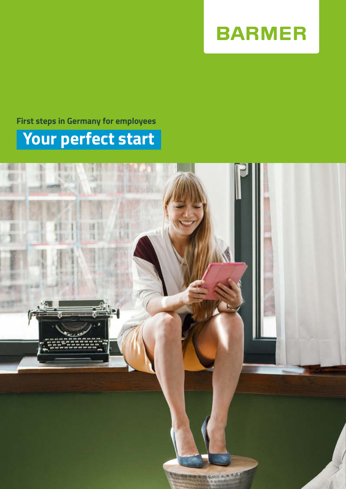

# **Your perfect start First steps in Germany for employees**

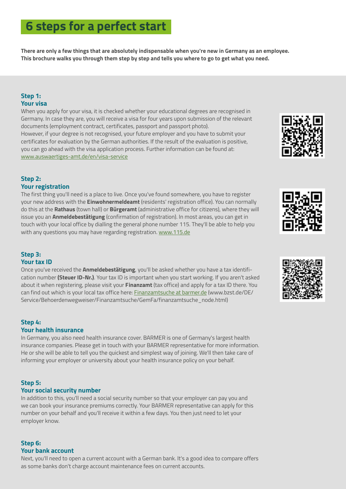# **6 steps for a perfect start**

**There are only a few things that are absolutely indispensable when you're new in Germany as an employee. This brochure walks you through them step by step and tells you where to go to get what you need.**

# **Step 1: Your visa**

When you apply for your visa, it is checked whether your educational degrees are recognised in Germany. In case they are, you will receive a visa for four years upon submission of the relevant documents (employment contract, certificates, passport and passport photo). However, if your degree is not recognised, your future employer and you have to submit your certificates for evaluation by the German authorities. If the result of the evaluation is positive, you can go ahead with the visa application process. Further information can be found at: [www.auswaertiges-amt.de/en/](http://www.auswaertiges-amt.de/en/einreiseundaufenthalt/visabestimmungen-node)visa-service

#### **Step 2: Your registration**

The first thing you'll need is a place to live. Once you've found somewhere, you have to register your new address with the **Einwohnermeldeamt** (residents' registration office). You can normally do this at the **Rathaus** (town hall) or **Bürgeramt** (administrative office for citizens), where they will issue you an **Anmeldebestätigung** (confirmation of registration). In most areas, you can get in touch with your local office by dialling the general phone number 115. They'll be able to help you with any questions you may have regarding registration. [www.115.de](http://www.115.de)

# **Step 3: Your tax ID**

Once you've received the **Anmeldebestätigung**, you'll be asked whether you have a tax identification number **(Steuer ID-Nr.)**. Your tax ID is important when you start working. If you aren't asked about it when registering, please visit your **Finanzamt** (tax office) and apply for a tax ID there. You can find out which is your local tax office here: [Finanzamtsuche at barmer.de](http://www.bzst.de/DE/Service/Behoerdenwegweiser/Finanzamtsuche/GemFa/finanzamtsuche_node.html) (www.bzst.de/DE/ Service/Behoerdenwegweiser/Finanzamtsuche/GemFa/finanzamtsuche\_node.html)

# **Step 4:**

# **Your health insurance**

In Germany, you also need health insurance cover. BARMER is one of Germany's largest health insurance companies. Please get in touch with your BARMER representative for more information. He or she will be able to tell you the quickest and simplest way of joining. We'll then take care of informing your employer or university about your health insurance policy on your behalf.

# **Step 5:**

# **Your social security number**

In addition to this, you'll need a social security number so that your employer can pay you and we can book your insurance premiums correctly. Your BARMER representative can apply for this number on your behalf and you'll receive it within a few days. You then just need to let your employer know.

#### **Step 6: Your bank account**

Next, you'll need to open a current account with a German bank. It's a good idea to compare offers as some banks don't charge account maintenance fees on current accounts.





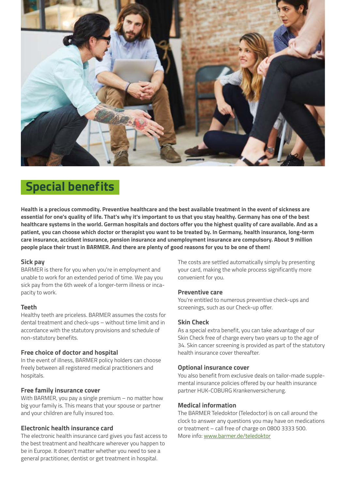

# **Special benefits**

**Health is a precious commodity. Preventive healthcare and the best available treatment in the event of sickness are essential for one's quality of life. That's why it's important to us that you stay healthy. Germany has one of the best healthcare systems in the world. German hospitals and doctors offer you the highest quality of care available. And as a patient, you can choose which doctor or therapist you want to be treated by. In Germany, health insurance, long-term care insurance, accident insurance, pension insurance and unemployment insurance are compulsory. About 9 million people place their trust in BARMER. And there are plenty of good reasons for you to be one of them!**

#### **Sick pay**

BARMER is there for you when you're in employment and unable to work for an extended period of time. We pay you sick pay from the 6th week of a longer-term illness or incapacity to work.

### **Teeth**

Healthy teeth are priceless. BARMER assumes the costs for dental treatment and check-ups – without time limit and in accordance with the statutory provisions and schedule of non-statutory benefits.

### **Free choice of doctor and hospital**

In the event of illness, BARMER policy holders can choose freely between all registered medical practitioners and hospitals.

### **Free family insurance cover**

With BARMER, you pay a single premium – no matter how big your family is. This means that your spouse or partner and your children are fully insured too.

#### **Electronic health insurance card**

The electronic health insurance card gives you fast access to the best treatment and healthcare wherever you happen to be in Europe. It doesn't matter whether you need to see a general practitioner, dentist or get treatment in hospital.

The costs are settled automatically simply by presenting your card, making the whole process significantly more convenient for you.

#### **Preventive care**

You're entitled to numerous preventive check-ups and screenings, such as our Check-up offer.

### **Skin Check**

As a special extra benefit, you can take advantage of our Skin Check free of charge every two years up to the age of 34. Skin cancer screening is provided as part of the statutory health insurance cover thereafter.

#### **Optional insurance cover**

You also benefit from exclusive deals on tailor-made supplemental insurance policies offered by our health insurance partner HUK-COBURG Krankenversicherung.

### **Medical information**

The BARMER Teledoktor (Teledoctor) is on call around the clock to answer any questions you may have on medications or treatment – call free of charge on 0800 3333 500. More info: [www.barmer.de/teledoktor](http://www.barmer.de/teledoktor)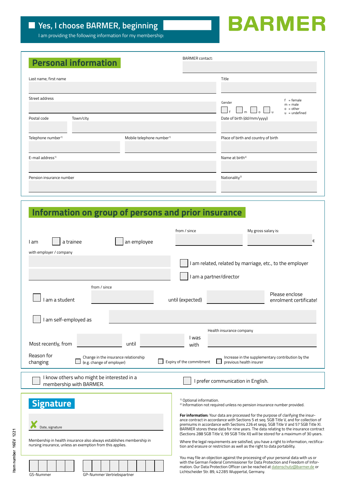**Item number 16EV 1221**

Item number 16EV 1221

# **BARMER**

I am providing the following information for my membership:

|                                | <b>Personal information</b> |                                       | <b>BARMER</b> contact: |                                                      |                                                              |
|--------------------------------|-----------------------------|---------------------------------------|------------------------|------------------------------------------------------|--------------------------------------------------------------|
| Last name, first name          |                             |                                       |                        | Title                                                |                                                              |
| Street address                 |                             |                                       |                        | Gender<br>$\Box$ , $\Box$ , $\Box$ ,<br>$\mathbb{I}$ | $f = female$<br>$m = male$<br>$o = other$<br>$u =$ undefined |
| Postal code                    | Town/city                   |                                       |                        | Date of birth (dd/mm/yyyy)                           |                                                              |
| Telephone number <sup>1)</sup> |                             | Mobile telephone number <sup>1)</sup> |                        | Place of birth and country of birth                  |                                                              |
| E-mail address <sup>1)</sup>   |                             |                                       |                        | Name at birth <sup>2)</sup>                          |                                                              |
| Pension insurance number       |                             |                                       |                        | Nationality <sup>2)</sup>                            |                                                              |

# **Information on group of persons and prior insurance**

| a trainee                                                                                                                                                                | from / since<br>My gross salary is:<br>€                                                                                                                                                                                                                                                                                                                                                                                                                                                                                                                                                                                                                                                                                                                        |  |  |  |  |  |
|--------------------------------------------------------------------------------------------------------------------------------------------------------------------------|-----------------------------------------------------------------------------------------------------------------------------------------------------------------------------------------------------------------------------------------------------------------------------------------------------------------------------------------------------------------------------------------------------------------------------------------------------------------------------------------------------------------------------------------------------------------------------------------------------------------------------------------------------------------------------------------------------------------------------------------------------------------|--|--|--|--|--|
| an employee<br>l am                                                                                                                                                      |                                                                                                                                                                                                                                                                                                                                                                                                                                                                                                                                                                                                                                                                                                                                                                 |  |  |  |  |  |
| with employer / company                                                                                                                                                  | I am related, related by marriage, etc., to the employer                                                                                                                                                                                                                                                                                                                                                                                                                                                                                                                                                                                                                                                                                                        |  |  |  |  |  |
|                                                                                                                                                                          | I am a partner/director                                                                                                                                                                                                                                                                                                                                                                                                                                                                                                                                                                                                                                                                                                                                         |  |  |  |  |  |
| from / since                                                                                                                                                             |                                                                                                                                                                                                                                                                                                                                                                                                                                                                                                                                                                                                                                                                                                                                                                 |  |  |  |  |  |
| am a student                                                                                                                                                             | Please enclose<br>until (expected)<br>enrolment certificate!                                                                                                                                                                                                                                                                                                                                                                                                                                                                                                                                                                                                                                                                                                    |  |  |  |  |  |
| I am self-employed as                                                                                                                                                    |                                                                                                                                                                                                                                                                                                                                                                                                                                                                                                                                                                                                                                                                                                                                                                 |  |  |  |  |  |
| Most recently, from<br>until<br>Reason for<br>Change in the insurance relationship                                                                                       | Health insurance company<br>l was<br>with<br>Increase in the supplementary contribution by the                                                                                                                                                                                                                                                                                                                                                                                                                                                                                                                                                                                                                                                                  |  |  |  |  |  |
| Expiry of the commitment<br>changing<br>(e.g. change of employer)<br>previous health insurer                                                                             |                                                                                                                                                                                                                                                                                                                                                                                                                                                                                                                                                                                                                                                                                                                                                                 |  |  |  |  |  |
| I know others who might be interested in a<br>I prefer communication in English.<br>membership with BARMER.                                                              |                                                                                                                                                                                                                                                                                                                                                                                                                                                                                                                                                                                                                                                                                                                                                                 |  |  |  |  |  |
| <b>Signature</b><br>Date, signature<br>Membership in health insurance also always establishes membership in<br>nursing insurance, unless an exemption from this applies. | <sup>1)</sup> Optional information.<br><sup>2)</sup> Information not required unless no pension insurance number provided.<br><b>For information:</b> Your data are processed for the purpose of clarifying the insur-<br>ance contract in accordance with Sections 5 et seq. SGB Title V, and for collection of<br>premiums in accordance with Sections 226 et segg. SGB Title V and 57 SGB Title XI.<br>BARMER stores these data for nine years. The data relating to the insurance contract<br>(Sections 288 SGB Title V, 99 SGB Title XI) will be stored for a maximum of 30 years.<br>Where the legal requirements are satisfied, you have a right to information, rectifica-<br>tion and erasure or restriction as well as the right to data portability. |  |  |  |  |  |
| GP-Nummer Vertriebspartner<br>GS-Nummer                                                                                                                                  | You may file an objection against the processing of your personal data with us or<br>with the German Federal Commissioner for Data Protection and Freedom of Infor-<br>mation. Our Data Protection Officer can be reached at datenschutz@barmer.de or<br>Lichtscheider Str. 89, 42285 Wuppertal, Germany.                                                                                                                                                                                                                                                                                                                                                                                                                                                       |  |  |  |  |  |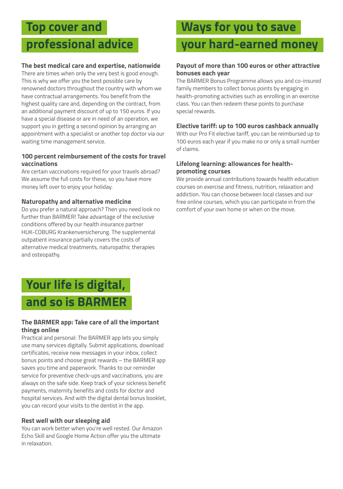# **Top cover and**

# **professional advice**

# **The best medical care and expertise, nationwide**

There are times when only the very best is good enough. This is why we offer you the best possible care by renowned doctors throughout the country with whom we have contractual arrangements. You benefit from the highest quality care and, depending on the contract, from an additional payment discount of up to 150 euros. If you have a special disease or are in need of an operation, we support you in getting a second opinion by arranging an appointment with a specialist or another top doctor via our waiting time management service.

### **100 percent reimbursement of the costs for travel vaccinations**

Are certain vaccinations required for your travels abroad? We assume the full costs for these, so you have more money left over to enjoy your holiday.

### **Naturopathy and alternative medicine**

Do you prefer a natural approach? Then you need look no further than BARMER! Take advantage of the exclusive conditions offered by our health insurance partner HUK-COBURG Krankenversicherung. The supplemental outpatient insurance partially covers the costs of alternative medical treatments, naturopathic therapies and osteopathy.

# **Your life is digital, and so is BARMER**

### **The BARMER app: Take care of all the important things online**

Practical and personal: The BARMER app lets you simply use many services digitally. Submit applications, download certificates, receive new messages in your inbox, collect bonus points and choose great rewards – the BARMER app saves you time and paperwork. Thanks to our reminder service for preventive check-ups and vaccinations, you are always on the safe side. Keep track of your sickness benefit payments, maternity benefits and costs for doctor and hospital services. And with the digital dental bonus booklet, you can record your visits to the dentist in the app.

### **Rest well with our sleeping aid**

You can work better when you're well rested. Our Amazon Echo Skill and Google Home Action offer you the ultimate in relaxation.

# **Ways for you to save**

# **your hard-earned money**

### **Payout of more than 100 euros or other attractive bonuses each year**

The BARMER Bonus Programme allows you and co-insured family members to collect bonus points by engaging in health-promoting activities such as enrolling in an exercise class. You can then redeem these points to purchase special rewards.

### **Elective tariff: up to 100 euros cashback annually**

With our Pro Fit elective tariff, you can be reimbursed up to 100 euros each year if you make no or only a small number of claims.

### **Lifelong learning: allowances for healthpromoting courses**

We provide annual contributions towards health education courses on exercise and fitness, nutrition, relaxation and addiction. You can choose between local classes and our free online courses, which you can participate in from the comfort of your own home or when on the move.